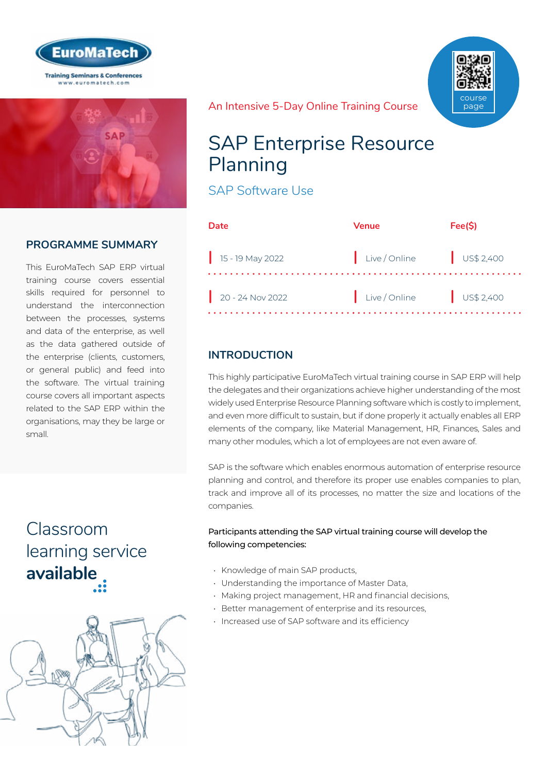



## **PROGRAMME SUMMARY**

This EuroMaTech SAP ERP virtual training course covers essential skills required for personnel to understand the interconnection between the processes, systems and data of the enterprise, as well as the data gathered outside of the enterprise (clients, customers, or general public) and feed into the software. The virtual training course covers all important aspects related to the SAP ERP within the organisations, may they be large or small.

## Classroom [learning service](https://www.euromatech.com/seminars/sap-enterprise-resource-planning/)  **available**



An Intensive 5-Day Online Training Course

## SAP Enterprise Resource Planning

SAP Software Use

| Date                         | Venue                  | Fee(S) |
|------------------------------|------------------------|--------|
| $\frac{1}{15}$ - 19 May 2022 | Live/Online US\$ 2,400 |        |
| $20 - 24$ Nov 2022           | Live/Online US\$ 2,400 |        |

course page

## **INTRODUCTION**

This highly participative EuroMaTech virtual training course in SAP ERP will help the delegates and their organizations achieve higher understanding of the most widely used Enterprise Resource Planning software which is costly to implement, and even more difficult to sustain, but if done properly it actually enables all ERP elements of the company, like Material Management, HR, Finances, Sales and many other modules, which a lot of employees are not even aware of.

SAP is the software which enables enormous automation of enterprise resource planning and control, and therefore its proper use enables companies to plan, track and improve all of its processes, no matter the size and locations of the companies.

#### Participants attending the SAP virtual training course will develop the following competencies:

- Knowledge of main SAP products,
- Understanding the importance of Master Data,
- Making project management, HR and financial decisions,
- Better management of enterprise and its resources,
- Increased use of SAP software and its efficiency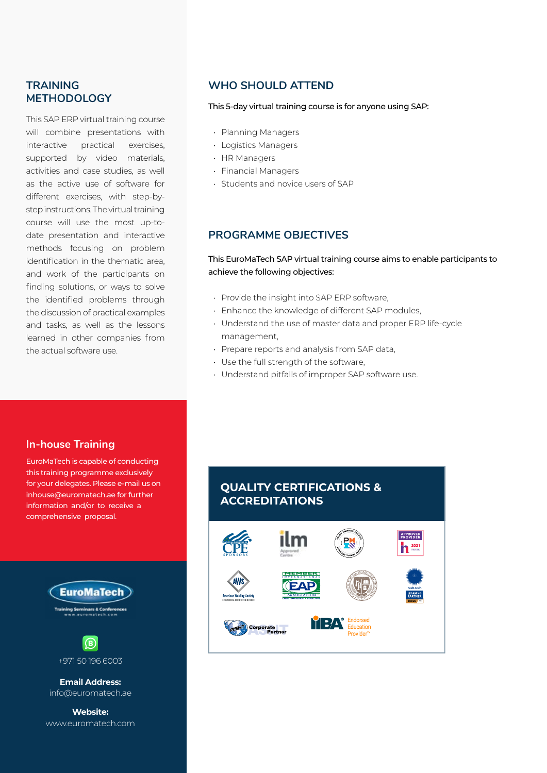#### **TRAINING METHODOLOGY**

This SAP ERP virtual training course will combine presentations with interactive practical exercises, supported by video materials, activities and case studies, as well as the active use of software for different exercises, with step-bystep instructions. The virtual training course will use the most up-todate presentation and interactive methods focusing on problem identification in the thematic area, and work of the participants on finding solutions, or ways to solve the identified problems through the discussion of practical examples and tasks, as well as the lessons learned in other companies from the actual software use.

### **WHO SHOULD ATTEND**

#### This 5-day virtual training course is for anyone using SAP:

- Planning Managers
- Logistics Managers
- HR Managers
- Financial Managers
- Students and novice users of SAP

#### **PROGRAMME OBJECTIVES**

#### This EuroMaTech SAP virtual training course aims to enable participants to achieve the following objectives:

- Provide the insight into SAP ERP software,
- Enhance the knowledge of different SAP modules,
- Understand the use of master data and proper ERP life-cycle management,
- Prepare reports and analysis from SAP data,
- Use the full strength of the software,
- Understand pitfalls of improper SAP software use.

#### **In-house Training**

EuroMaTech is capable of conducting this training programme exclusively for your delegates. Please e-mail us on inhouse@euromatech.ae for further information and/or to receive a comprehensive proposal.





**Email Address:** info@euromatech.ae

**Website:** www.euromatech.com

### **QUALITY CERTIFICATIONS & ACCREDITATIONS**

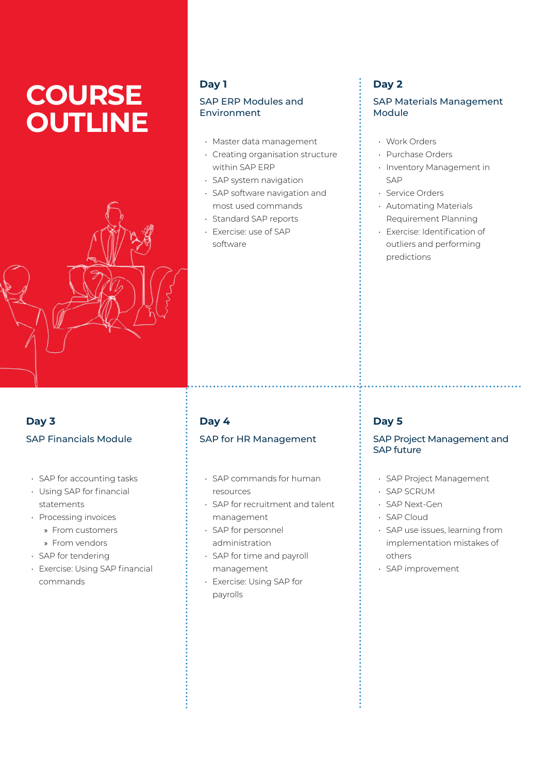# **COURSE OUTLINE**



#### **Day 1**

#### SAP ERP Modules and Environment

- Master data management
- Creating organisation structure within SAP ERP
- SAP system navigation
- SAP software navigation and most used commands
- Standard SAP reports
- Exercise: use of SAP software

## **Day 2**

#### SAP Materials Management Module

- Work Orders
- Purchase Orders
- Inventory Management in SAP
- Service Orders
- Automating Materials Requirement Planning
- Exercise: Identification of outliers and performing predictions

## **Day 3** SAP Financials Module

- SAP for accounting tasks
- Using SAP for financial statements
- Processing invoices
	- » From customers
	- » From vendors
- SAP for tendering
- Exercise: Using SAP financial commands

### **Day 4** SAP for HR Management

- SAP commands for human resources
- SAP for recruitment and talent management
- SAP for personnel administration
- SAP for time and payroll management
- Exercise: Using SAP for payrolls

## **Day 5**

#### SAP Project Management and SAP future

- SAP Project Management
- SAP SCRUM
- SAP Next-Gen
- SAP Cloud
- SAP use issues, learning from implementation mistakes of others
- SAP improvement